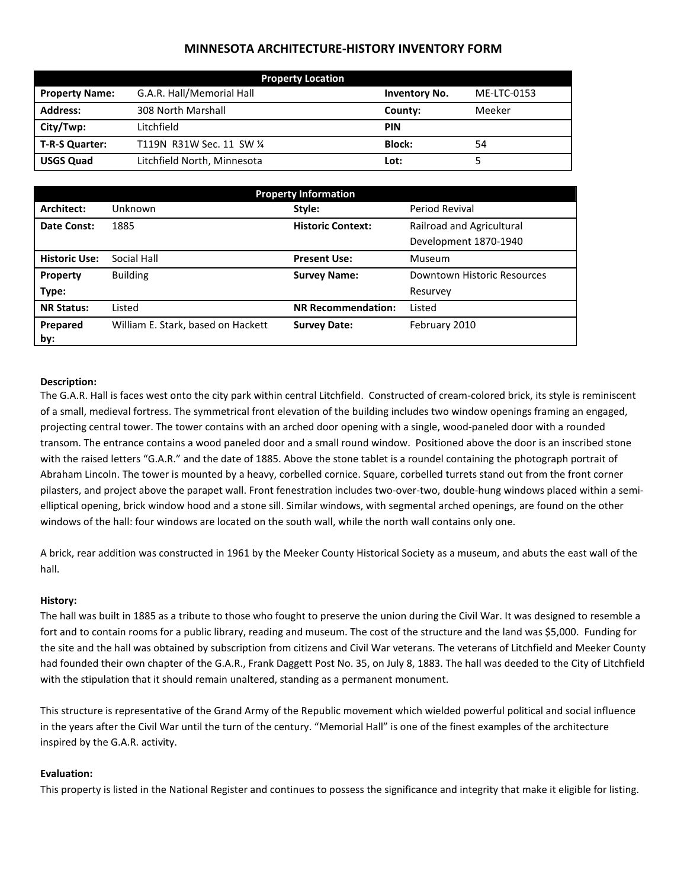# **MINNESOTA ARCHITECTURE-HISTORY INVENTORY FORM**

| <b>Property Location</b> |                             |                      |             |  |
|--------------------------|-----------------------------|----------------------|-------------|--|
| <b>Property Name:</b>    | G.A.R. Hall/Memorial Hall   | <b>Inventory No.</b> | ME-LTC-0153 |  |
| <b>Address:</b>          | 308 North Marshall          | County:              | Meeker      |  |
| City/Twp:                | Litchfield                  | <b>PIN</b>           |             |  |
| T-R-S Quarter:           | T119N R31W Sec. 11 SW 1/4   | Block:               | 54          |  |
| <b>USGS Quad</b>         | Litchfield North, Minnesota | Lot:                 |             |  |

| <b>Property Information</b> |                                    |                           |                             |  |  |
|-----------------------------|------------------------------------|---------------------------|-----------------------------|--|--|
| Architect:                  | Unknown                            | Style:                    | Period Revival              |  |  |
| Date Const:                 | 1885                               | <b>Historic Context:</b>  | Railroad and Agricultural   |  |  |
|                             |                                    |                           | Development 1870-1940       |  |  |
| <b>Historic Use:</b>        | Social Hall                        | <b>Present Use:</b>       | Museum                      |  |  |
| Property                    | <b>Building</b>                    | <b>Survey Name:</b>       | Downtown Historic Resources |  |  |
| Type:                       |                                    |                           | Resurvey                    |  |  |
| <b>NR Status:</b>           | Listed                             | <b>NR Recommendation:</b> | Listed                      |  |  |
| Prepared                    | William E. Stark, based on Hackett | <b>Survey Date:</b>       | February 2010               |  |  |
| by:                         |                                    |                           |                             |  |  |

## **Description:**

The G.A.R. Hall is faces west onto the city park within central Litchfield. Constructed of cream-colored brick, its style is reminiscent of a small, medieval fortress. The symmetrical front elevation of the building includes two window openings framing an engaged, projecting central tower. The tower contains with an arched door opening with a single, wood-paneled door with a rounded transom. The entrance contains a wood paneled door and a small round window. Positioned above the door is an inscribed stone with the raised letters "G.A.R." and the date of 1885. Above the stone tablet is a roundel containing the photograph portrait of Abraham Lincoln. The tower is mounted by a heavy, corbelled cornice. Square, corbelled turrets stand out from the front corner pilasters, and project above the parapet wall. Front fenestration includes two-over-two, double-hung windows placed within a semielliptical opening, brick window hood and a stone sill. Similar windows, with segmental arched openings, are found on the other windows of the hall: four windows are located on the south wall, while the north wall contains only one.

A brick, rear addition was constructed in 1961 by the Meeker County Historical Society as a museum, and abuts the east wall of the hall.

## **History:**

The hall was built in 1885 as a tribute to those who fought to preserve the union during the Civil War. It was designed to resemble a fort and to contain rooms for a public library, reading and museum. The cost of the structure and the land was \$5,000. Funding for the site and the hall was obtained by subscription from citizens and Civil War veterans. The veterans of Litchfield and Meeker County had founded their own chapter of the G.A.R., Frank Daggett Post No. 35, on July 8, 1883. The hall was deeded to the City of Litchfield with the stipulation that it should remain unaltered, standing as a permanent monument.

This structure is representative of the Grand Army of the Republic movement which wielded powerful political and social influence in the years after the Civil War until the turn of the century. "Memorial Hall" is one of the finest examples of the architecture inspired by the G.A.R. activity.

#### **Evaluation:**

This property is listed in the National Register and continues to possess the significance and integrity that make it eligible for listing.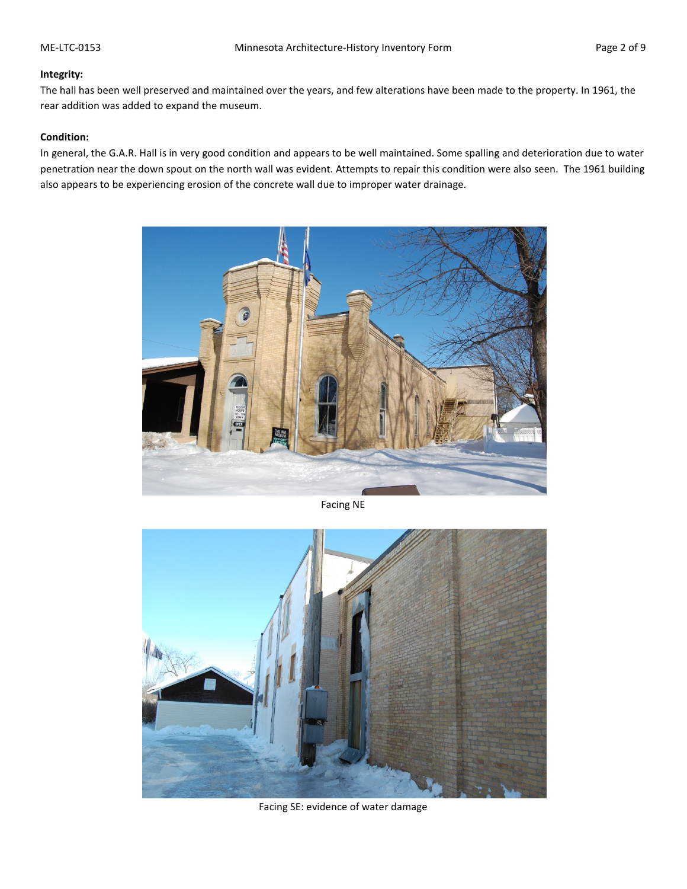### **Integrity:**

The hall has been well preserved and maintained over the years, and few alterations have been made to the property. In 1961, the rear addition was added to expand the museum.

## **Condition:**

In general, the G.A.R. Hall is in very good condition and appears to be well maintained. Some spalling and deterioration due to water penetration near the down spout on the north wall was evident. Attempts to repair this condition were also seen. The 1961 building also appears to be experiencing erosion of the concrete wall due to improper water drainage.



Facing NE



Facing SE: evidence of water damage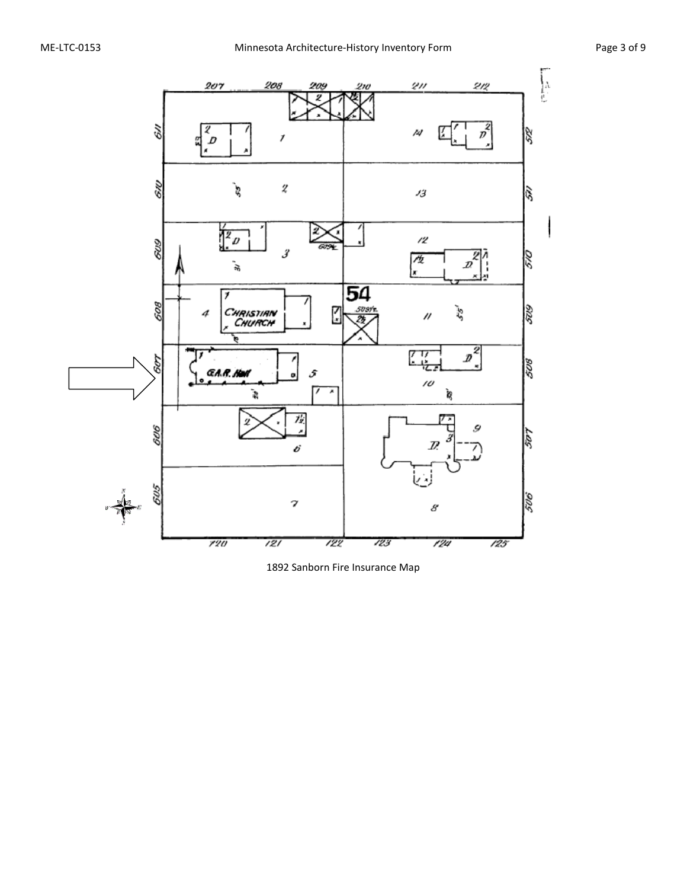

1892 Sanborn Fire Insurance Map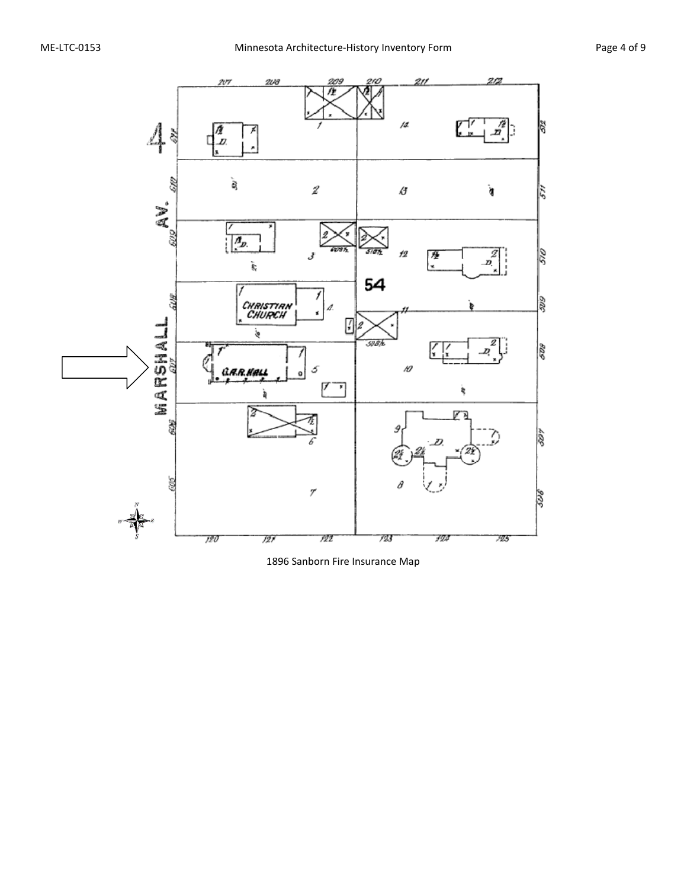

1896 Sanborn Fire Insurance Map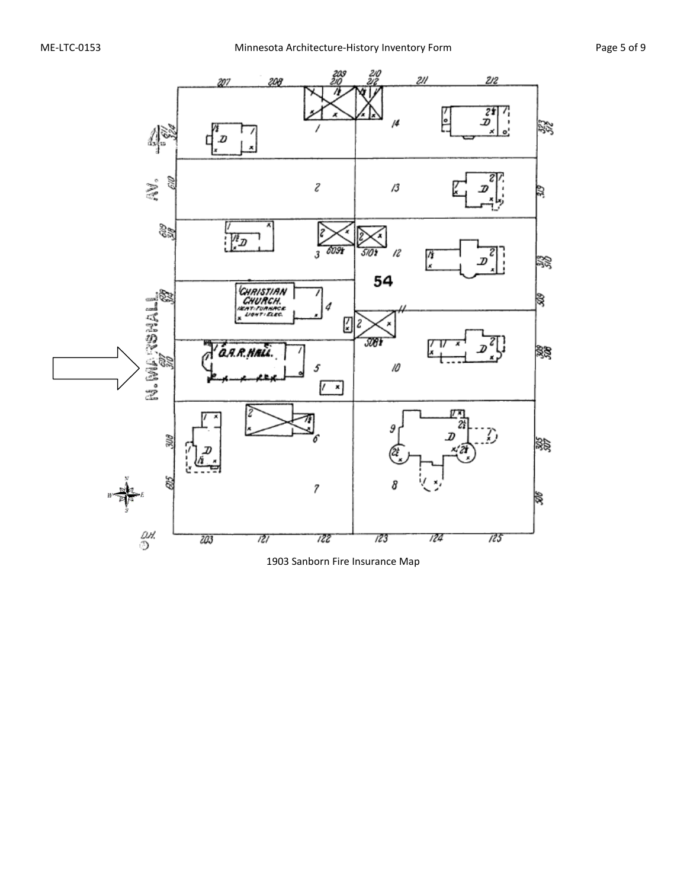

1903 Sanborn Fire Insurance Map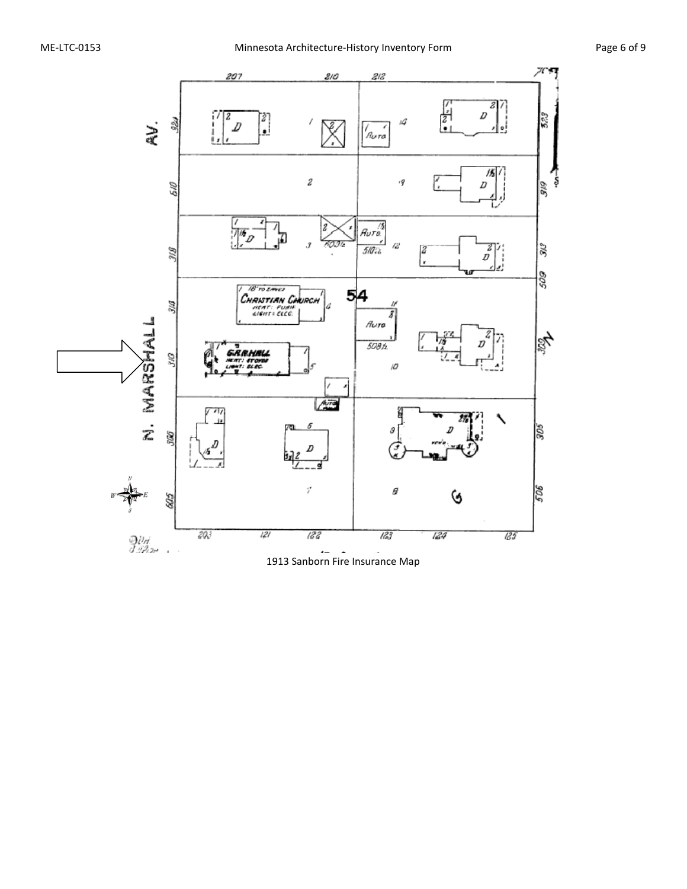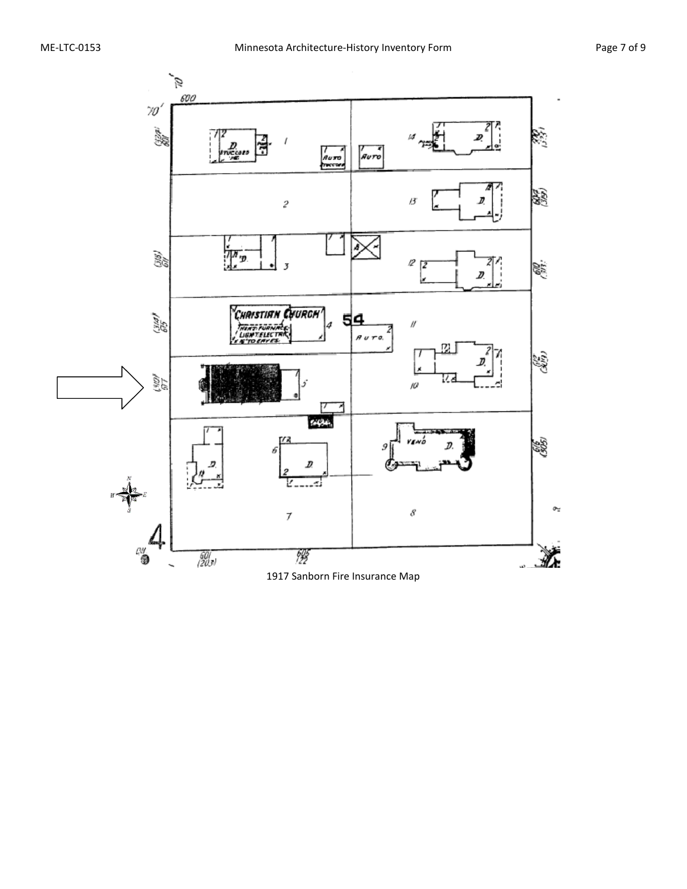

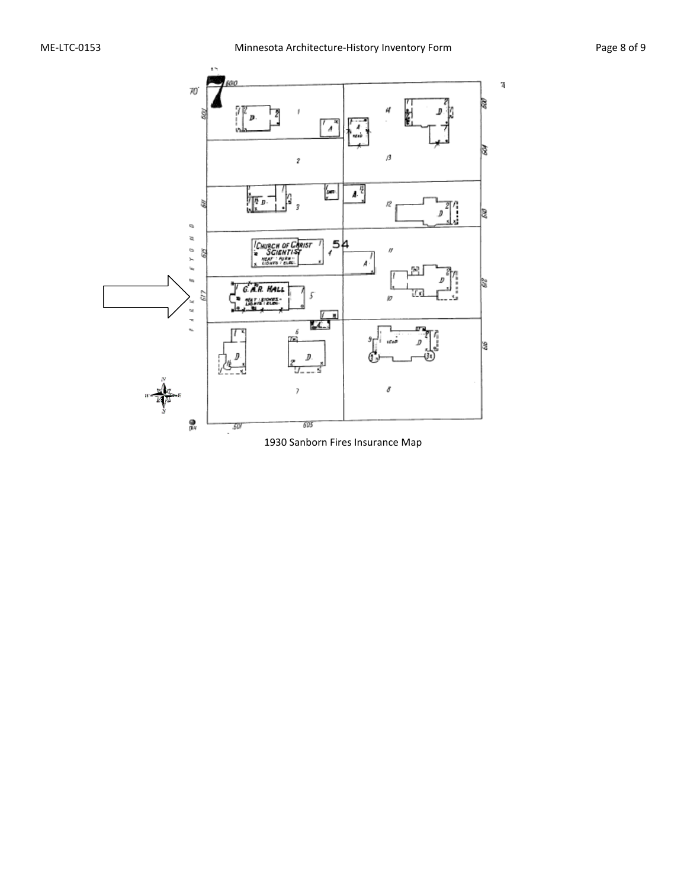